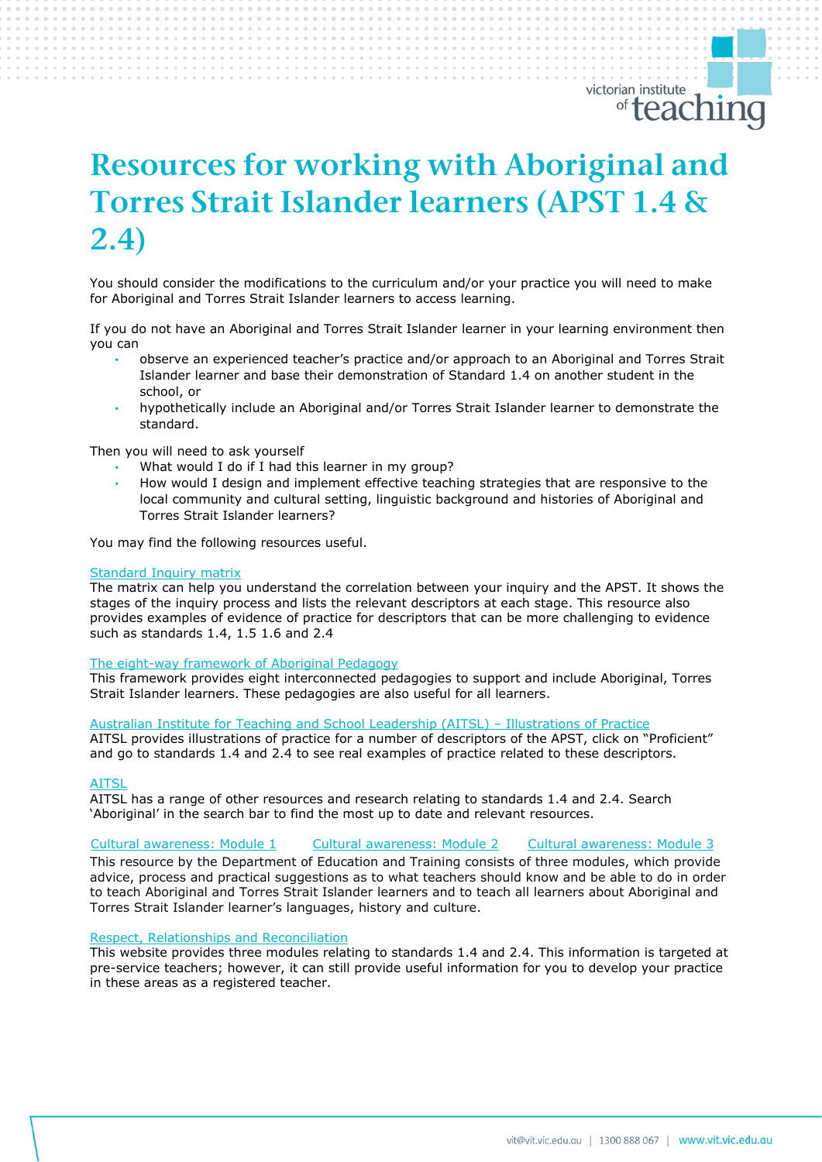# *Resources for working with Aboriginal and Torres Strait Islander learners (APST 1.4 & 2.4)*

You should consider the modifications to the curriculum and/or your practice you will need to make for Aboriginal and Torres Strait Islander learners to access learning.

If you do not have an Aboriginal and Torres Strait Islander learner in your learning environment then you can

- observe an experienced teacher's practice and/or approach to an Aboriginal and Torres Strait Islander learner and base their demonstration of Standard 1.4 on another student in the school, or
- hypothetically include an Aboriginal and/or Torres Strait Islander learner to demonstrate the standard.

Then you will need to ask yourself

- What would I do if I had this learner in my group?
- How would I design and implement effective teaching strategies that are responsive to the local community and cultural setting, linguistic background and histories of Aboriginal and Torres Strait Islander learners?

You may find the following resources useful.

#### [Standard Inquiry matrix](https://www.vit.vic.edu.au/__data/assets/pdf_file/0005/38678/Opportunities-for-demonstrating-the-APST-through-Inquiry-approach-0517.pdf)

The matrix can help you understand the correlation between your inquiry and the APST. It shows the stages of the inquiry process and lists the relevant descriptors at each stage. This resource also provides examples of evidence of practice for descriptors that can be more challenging to evidence such as standards 1.4, 1.5 1.6 and 2.4

#### [The eight-way framework of Aboriginal Pedagogy](https://vickidrozdowski.files.wordpress.com/2012/10/individual-investigation-of-a-learning-theory-aboriginal-pedagogy.pdf)

This framework provides eight interconnected pedagogies to support and include Aboriginal, Torres Strait Islander learners. These pedagogies are also useful for all learners.

#### [Australian Institute for Teaching and School Leadership \(AITSL\)](https://www.aitsl.edu.au/teach/standards) – Illustrations of Practice

AITSL provides illustrations of practice for a number of descriptors of the APST, click on "Proficient" and go to standards 1.4 and 2.4 to see real examples of practice related to these descriptors.

# [AITSL](https://www.aitsl.edu.au/teach/standards)

AITSL has a range of other resources and research relating to standards 1.4 and 2.4. Search 'Aboriginal' in the search bar to find the most up to date and relevant resources.

[Cultural awareness:](https://www.education.vic.gov.au/school/teachers/profdev/Documents/M1deck/culturalawarenessM1.html#slide-0) Module 1 [Cultural awareness:](https://www.education.vic.gov.au/school/teachers/profdev/Documents/M2deck/culturalawarenessM2.html#slide-0) Module 2 [Cultural awareness:](https://www.education.vic.gov.au/school/teachers/profdev/Documents/M3deck/culturalawarenessM3.html#slide-0) Module 3

This resource by the Department of Education and Training consists of three modules, which provide advice, process and practical suggestions as to what teachers should know and be able to do in order to teach Aboriginal and Torres Strait Islander learners and to teach all learners about Aboriginal and Torres Strait Islander learner's languages, history and culture.

#### [Respect, Relationships](https://rrr.edu.au/) and Reconciliation

This website provides three modules relating to standards 1.4 and 2.4. This information is targeted at pre-service teachers; however, it can still provide useful information for you to develop your practice in these areas as a registered teacher.

victorian institute

<u><sup>™</sup>teaching</u>